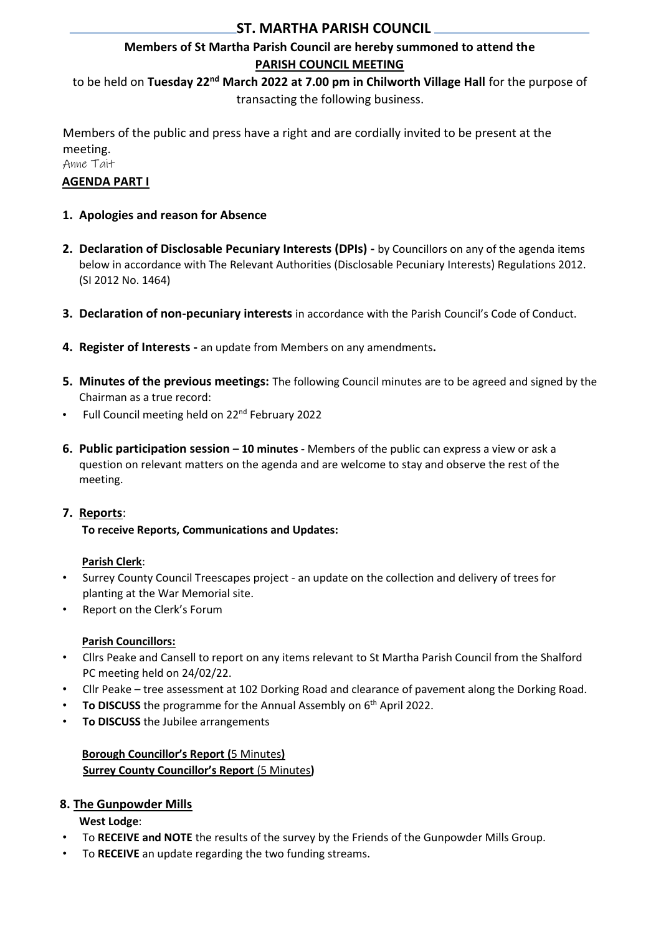# **ST. MARTHA PARISH COUNCIL**

# **Members of St Martha Parish Council are hereby summoned to attend the PARISH COUNCIL MEETING**

to be held on **Tuesday 22nd March 2022 at 7.00 pm in Chilworth Village Hall** for the purpose of transacting the following business.

Members of the public and press have a right and are cordially invited to be present at the meeting.

Anne Tait

# **AGENDA PART I**

- **1. Apologies and reason for Absence**
- **2. Declaration of Disclosable Pecuniary Interests (DPIs) -** by Councillors on any of the agenda items below in accordance with The Relevant Authorities (Disclosable Pecuniary Interests) Regulations 2012. (SI 2012 No. 1464)
- **3. Declaration of non-pecuniary interests** in accordance with the Parish Council's Code of Conduct.
- **4. Register of Interests -** an update from Members on any amendments**.**
- **5. Minutes of the previous meetings:** The following Council minutes are to be agreed and signed by the Chairman as a true record:
- Full Council meeting held on 22<sup>nd</sup> February 2022
- **6. Public participation session – 10 minutes -** Members of the public can express a view or ask a question on relevant matters on the agenda and are welcome to stay and observe the rest of the meeting.

# **7. Reports**:

**To receive Reports, Communications and Updates:** 

# **Parish Clerk**:

- Surrey County Council Treescapes project an update on the collection and delivery of trees for planting at the War Memorial site.
- Report on the Clerk's Forum

# **Parish Councillors:**

- Cllrs Peake and Cansell to report on any items relevant to St Martha Parish Council from the Shalford PC meeting held on 24/02/22.
- Cllr Peake tree assessment at 102 Dorking Road and clearance of pavement along the Dorking Road.
- **To DISCUSS** the programme for the Annual Assembly on 6<sup>th</sup> April 2022.
- **To DISCUSS** the Jubilee arrangements

# **Borough Councillor's Report (**5 Minutes**) Surrey County Councillor's Report** (5 Minutes**)**

# **8. The Gunpowder Mills**

**West Lodge**:

- To **RECEIVE and NOTE** the results of the survey by the Friends of the Gunpowder Mills Group.
- To **RECEIVE** an update regarding the two funding streams.